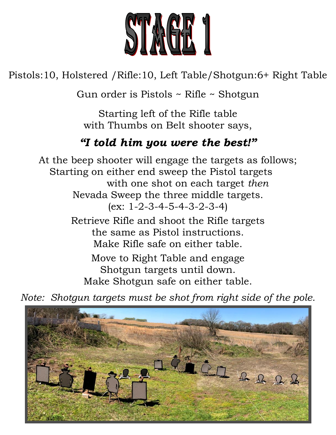

Pistols:10, Holstered /Rifle:10, Left Table/Shotgun:6+ Right Table

Gun order is Pistols ~ Rifle ~ Shotgun

Starting left of the Rifle table with Thumbs on Belt shooter says,

## *"I told him you were the best!"*

At the beep shooter will engage the targets as follows; Starting on either end sweep the Pistol targets with one shot on each target *then* Nevada Sweep the three middle targets. (ex: 1-2-3-4-5-4-3-2-3-4) Retrieve Rifle and shoot the Rifle targets the same as Pistol instructions.

Make Rifle safe on either table.

Move to Right Table and engage Shotgun targets until down. Make Shotgun safe on either table.

*Note: Shotgun targets must be shot from right side of the pole.*

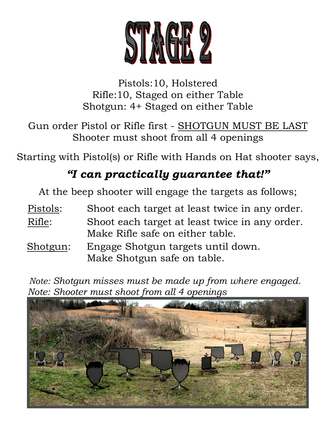

Pistols:10, Holstered Rifle:10, Staged on either Table Shotgun: 4+ Staged on either Table

Gun order Pistol or Rifle first - SHOTGUN MUST BE LAST Shooter must shoot from all 4 openings

Starting with Pistol(s) or Rifle with Hands on Hat shooter says,

# *"I can practically guarantee that!"*

At the beep shooter will engage the targets as follows;

- Pistols: Shoot each target at least twice in any order.
- Rifle: Shoot each target at least twice in any order. Make Rifle safe on either table.
- Shotgun: Engage Shotgun targets until down. Make Shotgun safe on table.

 *Note: Shotgun misses must be made up from where engaged. Note: Shooter must shoot from all 4 openings*

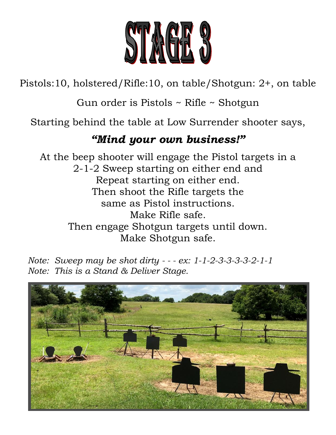

Pistols:10, holstered/Rifle:10, on table/Shotgun: 2+, on table

Gun order is Pistols ~ Rifle ~ Shotgun

Starting behind the table at Low Surrender shooter says,

### *"Mind your own business!"*

At the beep shooter will engage the Pistol targets in a 2-1-2 Sweep starting on either end and Repeat starting on either end. Then shoot the Rifle targets the same as Pistol instructions. Make Rifle safe. Then engage Shotgun targets until down. Make Shotgun safe.

*Note: Sweep may be shot dirty - - - ex: 1-1-2-3-3-3-3-2-1-1 Note: This is a Stand & Deliver Stage.*

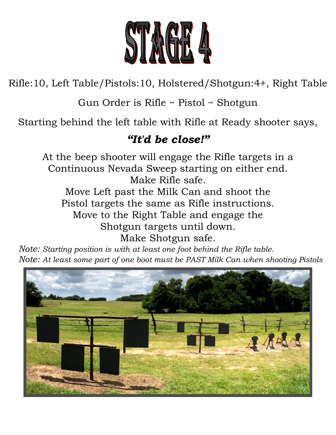

Rifle:10, Left Table/Pistols:10, Holstered/Shotgun:4+, Right Table

Gun Order is Rifle ~ Pistol ~ Shotgun

Starting behind the left table with Rifle at Ready shooter says,

## *"It'd be close!"*

At the beep shooter will engage the Rifle targets in a Continuous Nevada Sweep starting on either end. Make Rifle safe. Move Left past the Milk Can and shoot the Pistol targets the same as Rifle instructions. Move to the Right Table and engage the Shotgun targets until down. Make Shotgun safe.

 *Note: Starting position is with at least one foot behind the Rifle table. Note: At least some part of one boot must be PAST Milk Can when shooting Pistols*

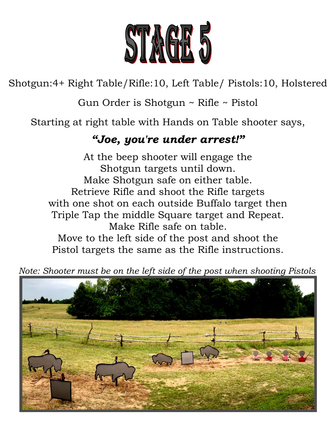

Shotgun:4+ Right Table/Rifle:10, Left Table/ Pistols:10, Holstered

Gun Order is Shotgun ~ Rifle ~ Pistol

Starting at right table with Hands on Table shooter says,

### *"Joe, you're under arrest!"*

At the beep shooter will engage the Shotgun targets until down. Make Shotgun safe on either table. Retrieve Rifle and shoot the Rifle targets with one shot on each outside Buffalo target then Triple Tap the middle Square target and Repeat. Make Rifle safe on table. Move to the left side of the post and shoot the Pistol targets the same as the Rifle instructions.

 *Note: Shooter must be on the left side of the post when shooting Pistols*